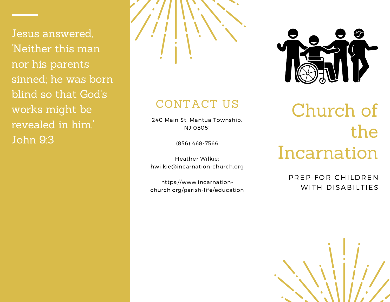Jesus answered, 'Neither this man nor his parents sinned; he was born blind so that God's works might be revealed in him.' John 9:3



#### CONTACT US

240 Main St, Mantua Township, NJ 08051

(856) 468-7566

Heather Wilkie: hwilkie@incarnation-church.org

https://www.incarnationchurch.org/parish-life/education



# Church of the Incarnation

PREP FOR CHILDREN WITH DISABILTIES